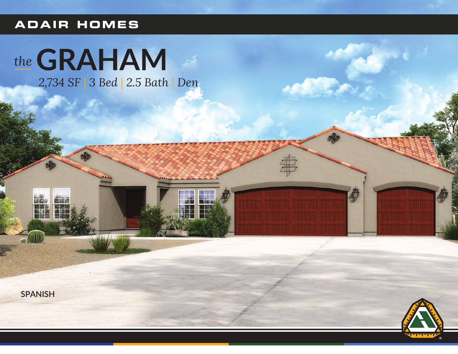# **ADAIR HOMES**

# the GRAHAM

2,734 SF | 3 Bed | 2.5 Bath | Den



NAS



 $\ddot \Phi$